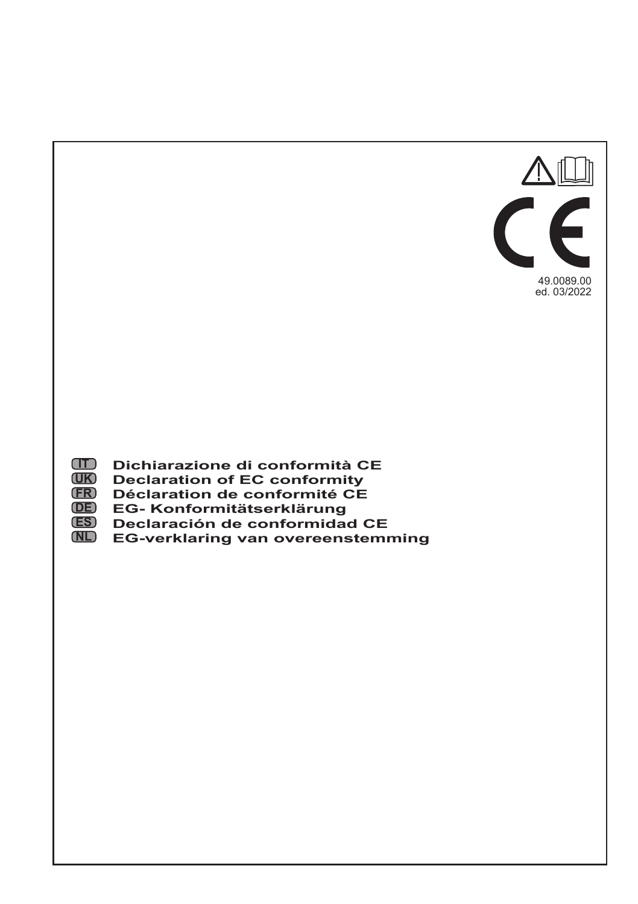

- **IT Dichiarazione di conformità CE**
- **UK Declaration of EC conformity**
- **FR Déclaration de conformité CE**
- **DE EG- Konformitätserklärung**
- **ES Declaración de conformidad CE**
- **NL EG-verklaring van overeenstemming**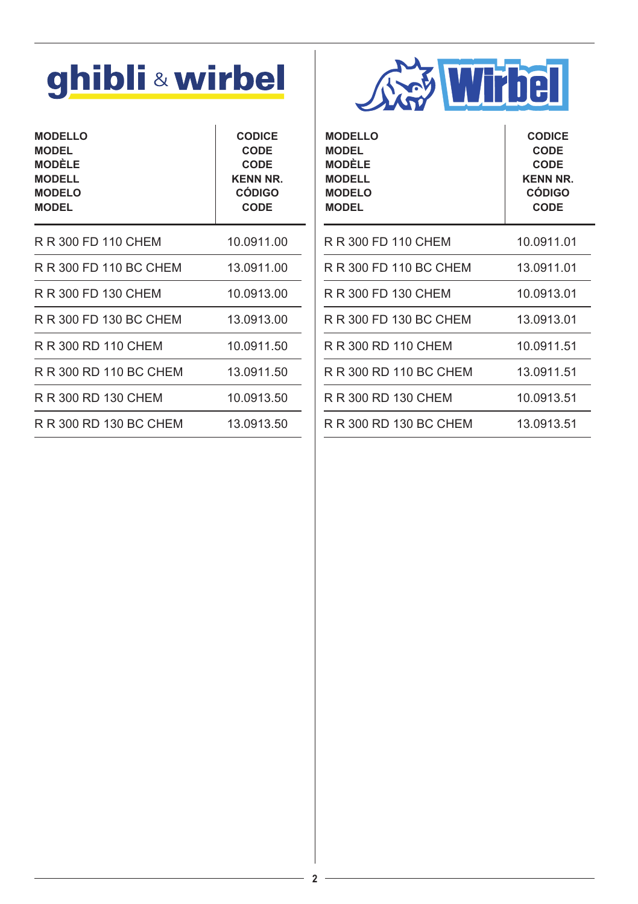# ghibli & wirbel

| <b>MODELLO</b><br>MODEL<br>MODÈLE<br><b>MODELL</b><br><b>MODELO</b><br><b>MODEL</b> | <b>CODICE</b><br>CODE<br><b>CODE</b><br><b>KENN NR.</b><br><b>CÓDIGO</b><br>CODE |
|-------------------------------------------------------------------------------------|----------------------------------------------------------------------------------|
| R R 300 FD 110 CHEM                                                                 | 10.0911.00                                                                       |
| R R 300 FD 110 BC CHEM                                                              | 13.0911.00                                                                       |
| R R 300 FD 130 CHEM                                                                 | 10.0913.00                                                                       |
| R R 300 FD 130 BC CHEM                                                              | 13.0913.00                                                                       |
| R R 300 RD 110 CHEM                                                                 | 10.0911.50                                                                       |
| R R 300 RD 110 BC CHEM                                                              | 13.0911.50                                                                       |
| R R 300 RD 130 CHEM                                                                 | 10.0913.50                                                                       |
| R R 300 RD 130 BC CHEM                                                              | 13.0913.50                                                                       |
|                                                                                     |                                                                                  |



| <b>MODELLO</b><br><b>MODEL</b><br><b>MODÈLE</b><br><b>MODELL</b><br><b>MODELO</b><br><b>MODEL</b> | <b>CODICE</b><br>CODE<br>CODE<br><b>KENN NR.</b><br><b>CÓDIGO</b><br><b>CODE</b> |
|---------------------------------------------------------------------------------------------------|----------------------------------------------------------------------------------|
| R R 300 FD 110 CHEM                                                                               | 10.0911.01                                                                       |
| R R 300 FD 110 BC CHEM                                                                            | 13.0911.01                                                                       |
| R R 300 FD 130 CHEM                                                                               | 10.0913.01                                                                       |
| R R 300 FD 130 BC CHEM                                                                            | 13.0913.01                                                                       |
| R R 300 RD 110 CHEM                                                                               | 10.0911.51                                                                       |
| R R 300 RD 110 BC CHEM                                                                            | 13.0911.51                                                                       |
| R R 300 RD 130 CHEM                                                                               | 10.0913.51                                                                       |
| R R 300 RD 130 BC CHEM                                                                            | 13.0913.51                                                                       |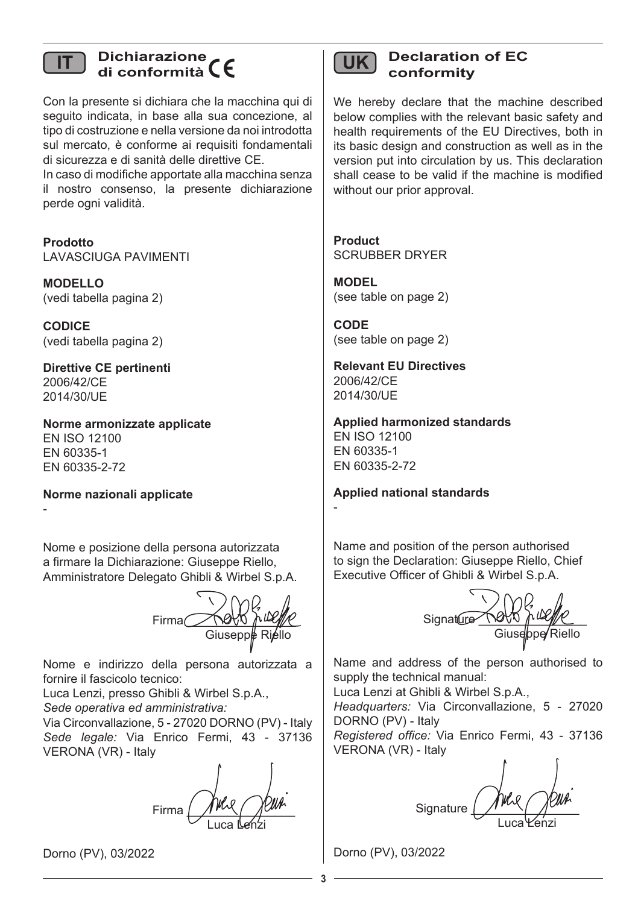### **Dichiarazione di conformità IT UK**

Con la presente si dichiara che la macchina qui di seguito indicata, in base alla sua concezione, al tipo di costruzione e nella versione da noi introdotta sul mercato, è conforme ai requisiti fondamentali di sicurezza e di sanità delle direttive CE.

In caso di modifiche apportate alla macchina senza il nostro consenso, la presente dichiarazione perde ogni validità.

**Prodotto** LAVASCIUGA PAVIMENTI

**MODELLO** (vedi tabella pagina 2)

**CODICE** (vedi tabella pagina 2)

**Direttive CE pertinenti** 2006/42/CE 2014/30/UE

**Norme armonizzate applicate** EN ISO 12100 EN 60335-1 EN 60335-2-72

**Norme nazionali applicate**

-

Nome e posizione della persona autorizzata a firmare la Dichiarazione: Giuseppe Riello, Amministratore Delegato Ghibli & Wirbel S.p.A.

 $Firma$ Giusepp**¢** Riello

Nome e indirizzo della persona autorizzata a fornire il fascicolo tecnico:

Luca Lenzi, presso Ghibli & Wirbel S.p.A., *Sede operativa ed amministrativa:*

Via Circonvallazione, 5 - 27020 DORNO (PV) - Italy *Sede legale:* Via Enrico Fermi, 43 - 37136 VERONA (VR) - Italy

Firma  $\left($   $\frac{1}{2}$   $\frac{1}{2}$   $\frac{1}{2}$   $\frac{1}{2}$   $\frac{1}{2}$   $\frac{1}{2}$   $\frac{1}{2}$   $\frac{1}{2}$   $\frac{1}{2}$   $\frac{1}{2}$   $\frac{1}{2}$   $\frac{1}{2}$   $\frac{1}{2}$   $\frac{1}{2}$   $\frac{1}{2}$   $\frac{1}{2}$   $\frac{1}{2}$   $\frac{1}{2}$   $\frac{1}{2}$   $\frac{1}{2}$   $\frac{1}{2}$ **Luca Lenzi** 

Dorno (PV), 03/2022

### **Declaration of EC conformity**

We hereby declare that the machine described below complies with the relevant basic safety and health requirements of the EU Directives, both in its basic design and construction as well as in the version put into circulation by us. This declaration shall cease to be valid if the machine is modified without our prior approval

**Product** SCRUBBER DRYER

**MODEL** (see table on page 2)

**CODE** (see table on page 2)

**Relevant EU Directives** 2006/42/CE 2014/30/UE

**Applied harmonized standards** EN ISO 12100 EN 60335-1 EN 60335-2-72

**Applied national standards**

-

Name and position of the person authorised to sign the Declaration: Giuseppe Riello, Chief Executive Officer of Ghibli & Wirbel S.p.A.

 $S$ ignature Giusebpe/Riello

Name and address of the person authorised to supply the technical manual:

Luca Lenzi at Ghibli & Wirbel S.p.A.,

*Headquarters:* Via Circonvallazione, 5 - 27020 DORNO (PV) - Italy

*Registered office:* Via Enrico Fermi, 43 - 37136 VERONA (VR) - Italy

Signature **Luca Yenzi** 

Dorno (PV), 03/2022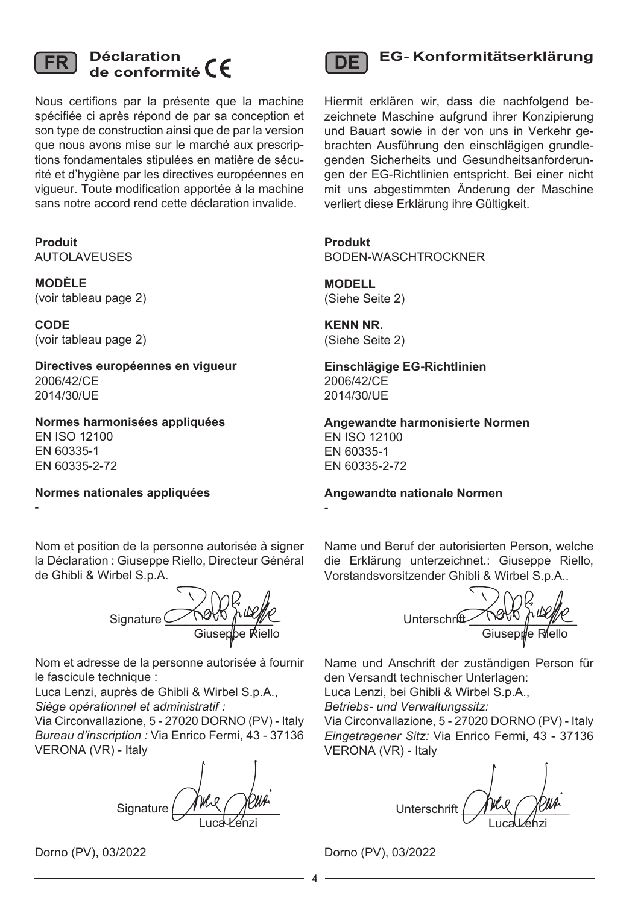

### **Déclaration de conformité FR DE**

Nous certifions par la présente que la machine spécifiée ci après répond de par sa conception et son type de construction ainsi que de par la version que nous avons mise sur le marché aux prescriptions fondamentales stipulées en matière de sécurité et d'hygiène par les directives européennes en vigueur. Toute modification apportée à la machine sans notre accord rend cette déclaration invalide.

**Produit** AUTOLAVEUSES

**MODÈLE**  (voir tableau page 2)

**CODE** (voir tableau page 2)

**Directives européennes en vigueur** 2006/42/CE 2014/30/UE

**Normes harmonisées appliquées** EN ISO 12100 EN 60335-1 EN 60335-2-72

**Normes nationales appliquées**

-

Nom et position de la personne autorisée à signer la Déclaration : Giuseppe Riello, Directeur Général de Ghibli & Wirbel S.p.A.

Signature  $\subset$ Giuseppe Riello

Nom et adresse de la personne autorisée à fournir le fascicule technique :

Luca Lenzi, auprès de Ghibli & Wirbel S.p.A., *Siège opérationnel et administratif :*

Via Circonvallazione, 5 - 27020 DORNO (PV) - Italy *Bureau d'inscription :* Via Enrico Fermi, 43 - 37136 VERONA (VR) - Italy

Signature Luca Leónzi

Dorno (PV), 03/2022



### **EG- Konformitätserklärung**

Hiermit erklären wir, dass die nachfolgend bezeichnete Maschine aufgrund ihrer Konzipierung und Bauart sowie in der von uns in Verkehr gebrachten Ausführung den einschlägigen grundlegenden Sicherheits und Gesundheitsanforderungen der EG-Richtlinien entspricht. Bei einer nicht mit uns abgestimmten Änderung der Maschine verliert diese Erklärung ihre Gültigkeit.

**Produkt** BODEN-WASCHTROCKNER

**MODELL** (Siehe Seite 2)

**KENN NR.** (Siehe Seite 2)

-

**Einschlägige EG-Richtlinien** 2006/42/CE 2014/30/UE

**Angewandte harmonisierte Normen** EN ISO 12100 EN 60335-1 EN 60335-2-72

**Angewandte nationale Normen**

Name und Beruf der autorisierten Person, welche die Erklärung unterzeichnet.: Giuseppe Riello, Vorstandsvorsitzender Ghibli & Wirbel S.p.A..

 $U$ nterschrift  $V$ Giusep#e Riello

Name und Anschrift der zuständigen Person für den Versandt technischer Unterlagen: Luca Lenzi, bei Ghibli & Wirbel S.p.A.,

*Betriebs- und Verwaltungssitz:*

Via Circonvallazione, 5 - 27020 DORNO (PV) - Italy *Eingetragener Sitz:* Via Enrico Fermi, 43 - 37136 VERONA (VR) - Italy

Unterschrift \_\_\_\_\_\_\_\_\_\_\_\_\_\_\_\_ Lucal Lehzi

Dorno (PV), 03/2022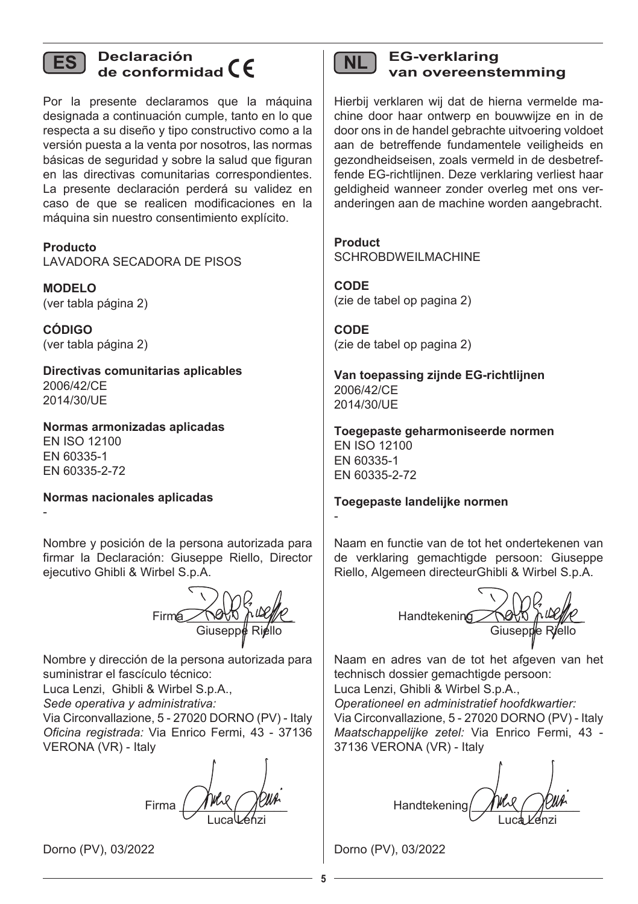

## **ES Declaración de conformidad**

Por la presente declaramos que la máquina designada a continuación cumple, tanto en lo que respecta a su diseño y tipo constructivo como a la versión puesta a la venta por nosotros, las normas básicas de seguridad y sobre la salud que figuran en las directivas comunitarias correspondientes. La presente declaración perderá su validez en caso de que se realicen modificaciones en la máquina sin nuestro consentimiento explícito.

**Producto** LAVADORA SECADORA DE PISOS

**MODELO** (ver tabla página 2)

**CÓDIGO** (ver tabla página 2)

-

**Directivas comunitarias aplicables** 2006/42/CE 2014/30/UE

**Normas armonizadas aplicadas** EN ISO 12100 EN 60335-1 EN 60335-2-72

**Normas nacionales aplicadas**

Nombre y posición de la persona autorizada para firmar la Declaración: Giuseppe Riello, Director ejecutivo Ghibli & Wirbel S.p.A.

 $Firma$   $\bigwedge$   $\bigwedge$   $\bigwedge$   $\bigwedge$   $\bigwedge$   $\bigwedge$ Giusepp**¢** Ri*j*ello

Nombre y dirección de la persona autorizada para suministrar el fascículo técnico:

Luca Lenzi, Ghibli & Wirbel S.p.A.,

*Sede operativa y administrativa:*

Via Circonvallazione, 5 - 27020 DORNO (PV) - Italy *Oficina registrada:* Via Enrico Fermi, 43 - 37136 VERONA (VR) - Italy

Firma Luca Léhzi

Dorno (PV), 03/2022

| M. |  |
|----|--|

#### **NL EG-verklaring van overeenstemming**

Hierbij verklaren wij dat de hierna vermelde machine door haar ontwerp en bouwwijze en in de door ons in de handel gebrachte uitvoering voldoet aan de betreffende fundamentele veiligheids en gezondheidseisen, zoals vermeld in de desbetreffende EG-richtlijnen. Deze verklaring verliest haar geldigheid wanneer zonder overleg met ons veranderingen aan de machine worden aangebracht.

**Product** SCHROBDWEILMACHINE

**CODE** (zie de tabel op pagina 2)

**CODE** (zie de tabel op pagina 2)

**Van toepassing zijnde EG-richtlijnen** 2006/42/CE 2014/30/UE

**Toegepaste geharmoniseerde normen** EN ISO 12100 EN 60335-1 EN 60335-2-72

**Toegepaste landelijke normen**

Naam en functie van de tot het ondertekenen van de verklaring gemachtigde persoon: Giuseppe Riello, Algemeen directeurGhibli & Wirbel S.p.A.

 $H$ andtekening  $\bigotimes_{\alpha} V_{\alpha} V_{\beta}$ Giuseppe Riello

Naam en adres van de tot het afgeven van het technisch dossier gemachtigde persoon:

Luca Lenzi, Ghibli & Wirbel S.p.A., *Operationeel en administratief hoofdkwartier:* Via Circonvallazione, 5 - 27020 DORNO (PV) - Italy *Maatschappelijke zetel:* Via Enrico Fermi, 43 - 37136 VERONA (VR) - Italy

Handtekening/ Luca *L'enzi* 

Dorno (PV), 03/2022

-